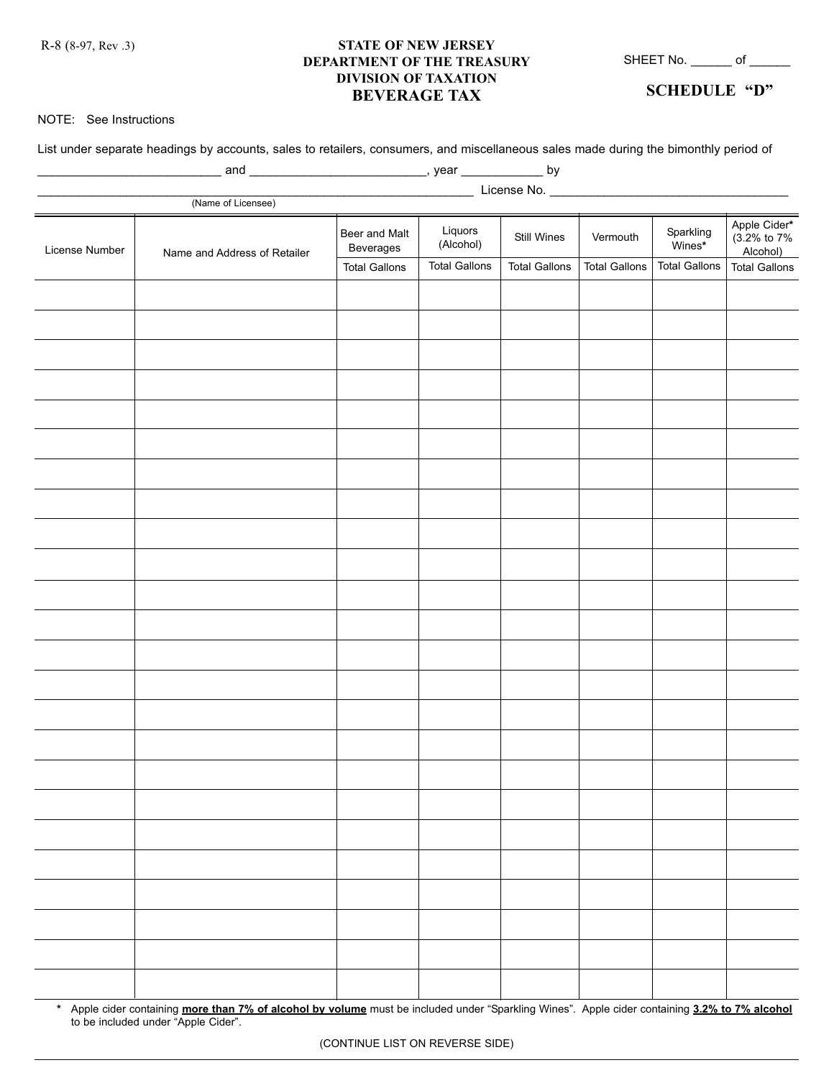R-8 (8-97, Rev .3)

## **STATE OF NEW JERSEY DEPARTMENT OF THE TREASURY DIVISION OF TAXATION BEVERAGE TAX**

SHEET No. \_\_\_\_\_\_\_ of \_\_\_\_\_\_\_

**SCHEDULE "D"**

## NOTE: See Instructions

List under separate headings by accounts, sales to retailers, consumers, and miscellaneous sales made during the bimonthly period of

| License Number | (Name of Licensee)           | Beer and Malt<br>Beverages | Liquors<br>(Alcohol) | Still Wines          | Vermouth             | Sparkling<br>Wines*  | Apple Cider*<br>(3.2% to 7%<br>Alcohol) |  |  |  |
|----------------|------------------------------|----------------------------|----------------------|----------------------|----------------------|----------------------|-----------------------------------------|--|--|--|
|                | Name and Address of Retailer | <b>Total Gallons</b>       | <b>Total Gallons</b> | <b>Total Gallons</b> | <b>Total Gallons</b> | <b>Total Gallons</b> | <b>Total Gallons</b>                    |  |  |  |
|                |                              |                            |                      |                      |                      |                      |                                         |  |  |  |
|                |                              |                            |                      |                      |                      |                      |                                         |  |  |  |
|                |                              |                            |                      |                      |                      |                      |                                         |  |  |  |
|                |                              |                            |                      |                      |                      |                      |                                         |  |  |  |
|                |                              |                            |                      |                      |                      |                      |                                         |  |  |  |
|                |                              |                            |                      |                      |                      |                      |                                         |  |  |  |
|                |                              |                            |                      |                      |                      |                      |                                         |  |  |  |
|                |                              |                            |                      |                      |                      |                      |                                         |  |  |  |
|                |                              |                            |                      |                      |                      |                      |                                         |  |  |  |
|                |                              |                            |                      |                      |                      |                      |                                         |  |  |  |
|                |                              |                            |                      |                      |                      |                      |                                         |  |  |  |
|                |                              |                            |                      |                      |                      |                      |                                         |  |  |  |
|                |                              |                            |                      |                      |                      |                      |                                         |  |  |  |
|                |                              |                            |                      |                      |                      |                      |                                         |  |  |  |
|                |                              |                            |                      |                      |                      |                      |                                         |  |  |  |
|                |                              |                            |                      |                      |                      |                      |                                         |  |  |  |
|                |                              |                            |                      |                      |                      |                      |                                         |  |  |  |
|                |                              |                            |                      |                      |                      |                      |                                         |  |  |  |
|                |                              |                            |                      |                      |                      |                      |                                         |  |  |  |
|                |                              |                            |                      |                      |                      |                      |                                         |  |  |  |
|                |                              |                            |                      |                      |                      |                      |                                         |  |  |  |
|                |                              |                            |                      |                      |                      |                      |                                         |  |  |  |
|                |                              |                            |                      |                      |                      |                      |                                         |  |  |  |
|                |                              |                            |                      |                      |                      |                      |                                         |  |  |  |
|                |                              |                            |                      |                      |                      |                      |                                         |  |  |  |
|                |                              |                            |                      |                      |                      |                      |                                         |  |  |  |
|                |                              |                            |                      |                      |                      |                      |                                         |  |  |  |
|                |                              |                            |                      |                      |                      |                      |                                         |  |  |  |
|                |                              |                            |                      |                      |                      |                      |                                         |  |  |  |
|                |                              |                            |                      |                      |                      |                      |                                         |  |  |  |

**\*** Apple cider containing **more than 7% of alcohol by volume** must be included under "Sparkling Wines". Apple cider containing **3.2% to 7% alcohol** to be included under "Apple Cider".

(CONTINUE LIST ON REVERSE SIDE)